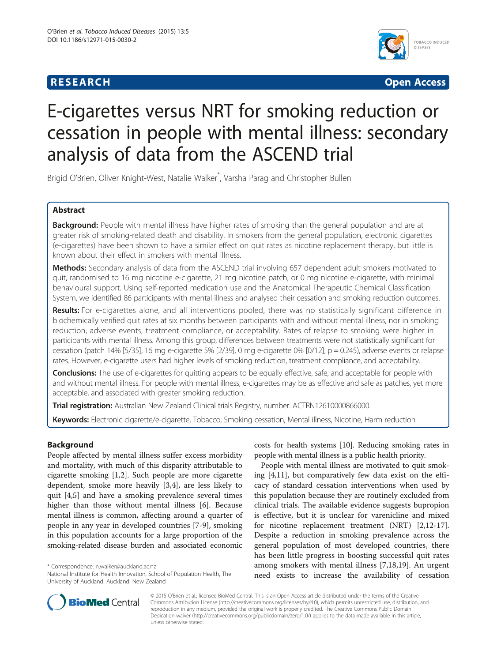# **RESEARCH RESEARCH** *CHECK CHECK CHECK CHECK CHECK CHECK CHECK CHECK CHECK CHECK CHECK CHECK CHECK CHECK CHECK CHECK CHECK CHECK CHECK CHECK CHECK CHECK CHECK CHECK CHECK CHECK CHECK CHECK CHECK CHECK CHECK CHECK CHECK*



# E-cigarettes versus NRT for smoking reduction or cessation in people with mental illness: secondary analysis of data from the ASCEND trial

Brigid O'Brien, Oliver Knight-West, Natalie Walker\* , Varsha Parag and Christopher Bullen

# Abstract

Background: People with mental illness have higher rates of smoking than the general population and are at greater risk of smoking-related death and disability. In smokers from the general population, electronic cigarettes (e-cigarettes) have been shown to have a similar effect on quit rates as nicotine replacement therapy, but little is known about their effect in smokers with mental illness.

Methods: Secondary analysis of data from the ASCEND trial involving 657 dependent adult smokers motivated to quit, randomised to 16 mg nicotine e-cigarette, 21 mg nicotine patch, or 0 mg nicotine e-cigarette, with minimal behavioural support. Using self-reported medication use and the Anatomical Therapeutic Chemical Classification System, we identified 86 participants with mental illness and analysed their cessation and smoking reduction outcomes.

Results: For e-cigarettes alone, and all interventions pooled, there was no statistically significant difference in biochemically verified quit rates at six months between participants with and without mental illness, nor in smoking reduction, adverse events, treatment compliance, or acceptability. Rates of relapse to smoking were higher in participants with mental illness. Among this group, differences between treatments were not statistically significant for cessation (patch 14% [5/35], 16 mg e-cigarette 5% [2/39], 0 mg e-cigarette 0% [0/12], p = 0.245), adverse events or relapse rates. However, e-cigarette users had higher levels of smoking reduction, treatment compliance, and acceptability.

**Conclusions:** The use of e-cigarettes for quitting appears to be equally effective, safe, and acceptable for people with and without mental illness. For people with mental illness, e-cigarettes may be as effective and safe as patches, yet more acceptable, and associated with greater smoking reduction.

**Trial registration:** Australian New Zealand Clinical trials Registry, number: [ACTRN12610000866000](http://www.anzctr.org.au/TrialSearch.aspx?searchTxt=ACTRN12610000866000.&ddlSearch=Registered).

Keywords: Electronic cigarette/e-cigarette, Tobacco, Smoking cessation, Mental illness, Nicotine, Harm reduction

# Background

People affected by mental illness suffer excess morbidity and mortality, with much of this disparity attributable to cigarette smoking [\[1](#page-5-0),[2](#page-5-0)]. Such people are more cigarette dependent, smoke more heavily [[3,4\]](#page-5-0), are less likely to quit [\[4,5](#page-5-0)] and have a smoking prevalence several times higher than those without mental illness [\[6](#page-5-0)]. Because mental illness is common, affecting around a quarter of people in any year in developed countries [\[7](#page-5-0)-[9\]](#page-5-0), smoking in this population accounts for a large proportion of the smoking-related disease burden and associated economic

\* Correspondence: [n.walker@auckland.ac.nz](mailto:n.walker@auckland.ac.nz)

costs for health systems [\[10\]](#page-5-0). Reducing smoking rates in people with mental illness is a public health priority.

People with mental illness are motivated to quit smoking [[4](#page-5-0),[11](#page-5-0)], but comparatively few data exist on the efficacy of standard cessation interventions when used by this population because they are routinely excluded from clinical trials. The available evidence suggests bupropion is effective, but it is unclear for varenicline and mixed for nicotine replacement treatment (NRT) [[2,12-17](#page-5-0)]. Despite a reduction in smoking prevalence across the general population of most developed countries, there has been little progress in boosting successful quit rates among smokers with mental illness [\[7,18,19](#page-5-0)]. An urgent need exists to increase the availability of cessation



© 2015 O'Brien et al.; licensee BioMed Central. This is an Open Access article distributed under the terms of the Creative Commons Attribution License [\(http://creativecommons.org/licenses/by/4.0\)](http://creativecommons.org/licenses/by/4.0), which permits unrestricted use, distribution, and reproduction in any medium, provided the original work is properly credited. The Creative Commons Public Domain Dedication waiver [\(http://creativecommons.org/publicdomain/zero/1.0/](http://creativecommons.org/publicdomain/zero/1.0/)) applies to the data made available in this article, unless otherwise stated.

National Institute for Health Innovation, School of Population Health, The University of Auckland, Auckland, New Zealand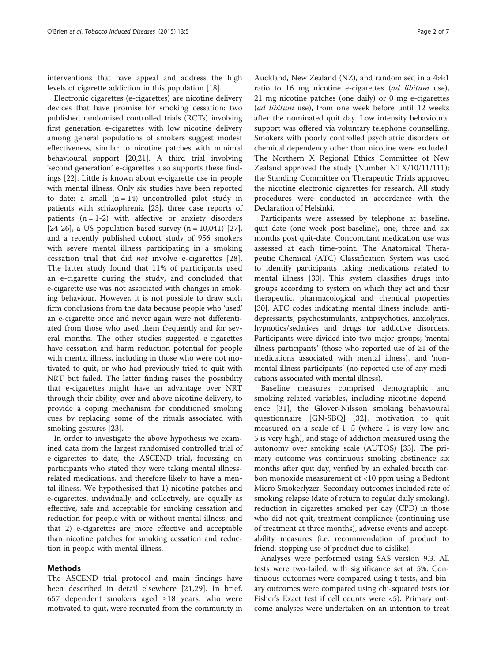interventions that have appeal and address the high levels of cigarette addiction in this population [[18](#page-5-0)].

Electronic cigarettes (e-cigarettes) are nicotine delivery devices that have promise for smoking cessation: two published randomised controlled trials (RCTs) involving first generation e-cigarettes with low nicotine delivery among general populations of smokers suggest modest effectiveness, similar to nicotine patches with minimal behavioural support [\[20](#page-5-0)[,21](#page-6-0)]. A third trial involving 'second generation' e-cigarettes also supports these findings [[22](#page-6-0)]. Little is known about e-cigarette use in people with mental illness. Only six studies have been reported to date: a small  $(n = 14)$  uncontrolled pilot study in patients with schizophrenia [[23\]](#page-6-0), three case reports of patients  $(n = 1-2)$  with affective or anxiety disorders [[24-26](#page-6-0)], a US population-based survey  $(n = 10,041)$  [\[27](#page-6-0)], and a recently published cohort study of 956 smokers with severe mental illness participating in a smoking cessation trial that did not involve e-cigarettes [[28](#page-6-0)]. The latter study found that 11% of participants used an e-cigarette during the study, and concluded that e-cigarette use was not associated with changes in smoking behaviour. However, it is not possible to draw such firm conclusions from the data because people who 'used' an e-cigarette once and never again were not differentiated from those who used them frequently and for several months. The other studies suggested e-cigarettes have cessation and harm reduction potential for people with mental illness, including in those who were not motivated to quit, or who had previously tried to quit with NRT but failed. The latter finding raises the possibility that e-cigarettes might have an advantage over NRT through their ability, over and above nicotine delivery, to provide a coping mechanism for conditioned smoking cues by replacing some of the rituals associated with smoking gestures [[23\]](#page-6-0).

In order to investigate the above hypothesis we examined data from the largest randomised controlled trial of e-cigarettes to date, the ASCEND trial, focussing on participants who stated they were taking mental illnessrelated medications, and therefore likely to have a mental illness. We hypothesised that 1) nicotine patches and e-cigarettes, individually and collectively, are equally as effective, safe and acceptable for smoking cessation and reduction for people with or without mental illness, and that 2) e-cigarettes are more effective and acceptable than nicotine patches for smoking cessation and reduction in people with mental illness.

# Methods

The ASCEND trial protocol and main findings have been described in detail elsewhere [[21,29](#page-6-0)]. In brief, 657 dependent smokers aged ≥18 years, who were motivated to quit, were recruited from the community in

Auckland, New Zealand (NZ), and randomised in a 4:4:1 ratio to 16 mg nicotine e-cigarettes (ad libitum use), 21 mg nicotine patches (one daily) or 0 mg e-cigarettes (ad libitum use), from one week before until 12 weeks after the nominated quit day. Low intensity behavioural support was offered via voluntary telephone counselling. Smokers with poorly controlled psychiatric disorders or chemical dependency other than nicotine were excluded. The Northern X Regional Ethics Committee of New Zealand approved the study (Number NTX/10/11/111); the Standing Committee on Therapeutic Trials approved the nicotine electronic cigarettes for research. All study procedures were conducted in accordance with the Declaration of Helsinki.

Participants were assessed by telephone at baseline, quit date (one week post-baseline), one, three and six months post quit-date. Concomitant medication use was assessed at each time-point. The Anatomical Therapeutic Chemical (ATC) Classification System was used to identify participants taking medications related to mental illness [\[30\]](#page-6-0). This system classifies drugs into groups according to system on which they act and their therapeutic, pharmacological and chemical properties [[30\]](#page-6-0). ATC codes indicating mental illness include: antidepressants, psychostimulants, antipsychotics, anxiolytics, hypnotics/sedatives and drugs for addictive disorders. Participants were divided into two major groups; 'mental illness participants' (those who reported use of ≥1 of the medications associated with mental illness), and 'nonmental illness participants' (no reported use of any medications associated with mental illness).

Baseline measures comprised demographic and smoking-related variables, including nicotine dependence [[31](#page-6-0)], the Glover-Nilsson smoking behavioural questionnaire [GN-SBQ] [\[32\]](#page-6-0), motivation to quit measured on a scale of 1–5 (where 1 is very low and 5 is very high), and stage of addiction measured using the autonomy over smoking scale (AUTOS) [\[33\]](#page-6-0). The primary outcome was continuous smoking abstinence six months after quit day, verified by an exhaled breath carbon monoxide measurement of <10 ppm using a Bedfont Micro Smokerlyzer. Secondary outcomes included rate of smoking relapse (date of return to regular daily smoking), reduction in cigarettes smoked per day (CPD) in those who did not quit, treatment compliance (continuing use of treatment at three months), adverse events and acceptability measures (i.e. recommendation of product to friend; stopping use of product due to dislike).

Analyses were performed using SAS version 9.3. All tests were two-tailed, with significance set at 5%. Continuous outcomes were compared using t-tests, and binary outcomes were compared using chi-squared tests (or Fisher's Exact test if cell counts were  $<$ 5). Primary outcome analyses were undertaken on an intention-to-treat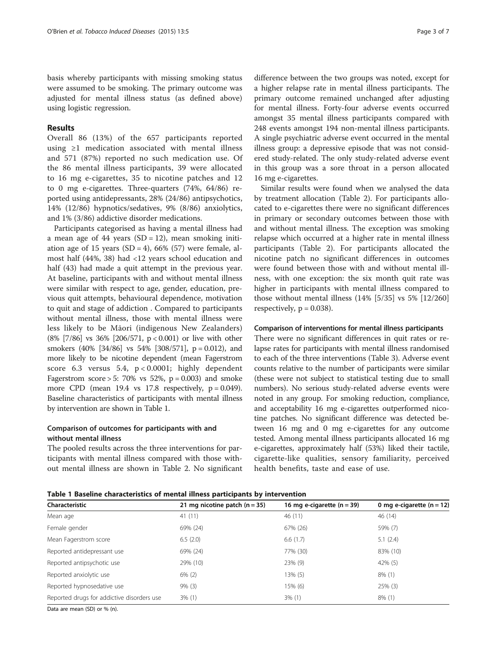### Results

Overall 86 (13%) of the 657 participants reported using ≥1 medication associated with mental illness and 571 (87%) reported no such medication use. Of the 86 mental illness participants, 39 were allocated to 16 mg e-cigarettes, 35 to nicotine patches and 12 to 0 mg e-cigarettes. Three-quarters (74%, 64/86) reported using antidepressants, 28% (24/86) antipsychotics, 14% (12/86) hypnotics/sedatives, 9% (8/86) anxiolytics, and 1% (3/86) addictive disorder medications.

Participants categorised as having a mental illness had a mean age of 44 years  $(SD = 12)$ , mean smoking initiation age of 15 years  $(SD = 4)$ , 66% (57) were female, almost half (44%, 38) had <12 years school education and half (43) had made a quit attempt in the previous year. At baseline, participants with and without mental illness were similar with respect to age, gender, education, previous quit attempts, behavioural dependence, motivation to quit and stage of addiction . Compared to participants without mental illness, those with mental illness were less likely to be Māori (indigenous New Zealanders) (8% [7/86] vs 36% [206/571, p < 0.001) or live with other smokers (40% [34/86] vs 54% [308/571], p = 0.012), and more likely to be nicotine dependent (mean Fagerstrom score 6.3 versus 5.4, p < 0.0001; highly dependent Fagerstrom score  $> 5$ : 70% vs 52%, p = 0.003) and smoke more CPD (mean  $19.4$  vs  $17.8$  respectively,  $p = 0.049$ ). Baseline characteristics of participants with mental illness by intervention are shown in Table 1.

# Comparison of outcomes for participants with and without mental illness

The pooled results across the three interventions for participants with mental illness compared with those without mental illness are shown in Table [2.](#page-3-0) No significant difference between the two groups was noted, except for a higher relapse rate in mental illness participants. The primary outcome remained unchanged after adjusting for mental illness. Forty-four adverse events occurred amongst 35 mental illness participants compared with 248 events amongst 194 non-mental illness participants. A single psychiatric adverse event occurred in the mental illness group: a depressive episode that was not considered study-related. The only study-related adverse event in this group was a sore throat in a person allocated 16 mg e-cigarettes.

Similar results were found when we analysed the data by treatment allocation (Table [2\)](#page-3-0). For participants allocated to e-cigarettes there were no significant differences in primary or secondary outcomes between those with and without mental illness. The exception was smoking relapse which occurred at a higher rate in mental illness participants (Table [2](#page-3-0)). For participants allocated the nicotine patch no significant differences in outcomes were found between those with and without mental illness, with one exception: the six month quit rate was higher in participants with mental illness compared to those without mental illness (14% [5/35] vs 5% [12/260] respectively,  $p = 0.038$ ).

#### Comparison of interventions for mental illness participants

There were no significant differences in quit rates or relapse rates for participants with mental illness randomised to each of the three interventions (Table [3](#page-4-0)). Adverse event counts relative to the number of participants were similar (these were not subject to statistical testing due to small numbers). No serious study-related adverse events were noted in any group. For smoking reduction, compliance, and acceptability 16 mg e-cigarettes outperformed nicotine patches. No significant difference was detected between 16 mg and 0 mg e-cigarettes for any outcome tested. Among mental illness participants allocated 16 mg e-cigarettes, approximately half (53%) liked their tactile, cigarette-like qualities, sensory familiarity, perceived health benefits, taste and ease of use.

Table 1 Baseline characteristics of mental illness participants by intervention

| Characteristic                             | 21 mg nicotine patch ( $n = 35$ ) | 16 mg e-cigarette ( $n = 39$ ) | 0 mg e-cigarette ( $n = 12$ ) |
|--------------------------------------------|-----------------------------------|--------------------------------|-------------------------------|
| Mean age                                   | 41(11)                            | 46(11)                         | 46 (14)                       |
| Female gender                              | 69% (24)                          | 67% (26)                       | 59% (7)                       |
| Mean Fagerstrom score                      | 6.5(2.0)                          | 6.6(1.7)                       | 5.1(2.4)                      |
| Reported antidepressant use                | 69% (24)                          | 77% (30)                       | 83% (10)                      |
| Reported antipsychotic use                 | 29% (10)                          | 23% (9)                        | 42% (5)                       |
| Reported anxiolytic use                    | $6\%$ (2)                         | 13% (5)                        | $8\%$ (1)                     |
| Reported hypnosedative use                 | $9\%$ (3)                         | 15% (6)                        | 25% (3)                       |
| Reported drugs for addictive disorders use | 3% (1)                            | $3\%$ (1)                      | $8\%$ (1)                     |

Data are mean (SD) or % (n).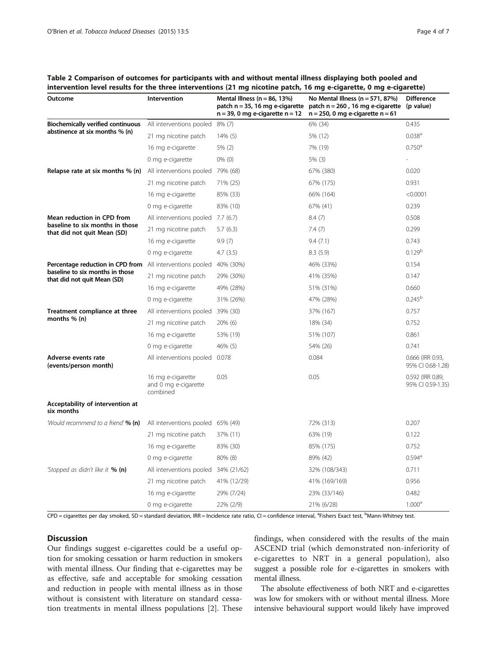| Outcome                                                                    | Intervention                                          | Mental Illness ( $n = 86, 13\%$ )<br>patch $n = 35$ , 16 mg e-cigarette<br>$n = 39$ , 0 mg e-cigarette $n = 12$ | No Mental Illness ( $n = 571, 87\%)$<br>patch $n = 260$ , 16 mg e-cigarette (p value)<br>$n = 250$ , 0 mg e-cigarette $n = 61$ | <b>Difference</b>                     |
|----------------------------------------------------------------------------|-------------------------------------------------------|-----------------------------------------------------------------------------------------------------------------|--------------------------------------------------------------------------------------------------------------------------------|---------------------------------------|
| <b>Biochemically verified continuous</b><br>abstinence at six months % (n) | All interventions pooled                              | 8% (7)                                                                                                          | 6% (34)                                                                                                                        | 0.435                                 |
|                                                                            | 21 mg nicotine patch                                  | 14% (5)                                                                                                         | 5% (12)                                                                                                                        | 0.038 <sup>a</sup>                    |
|                                                                            | 16 mg e-cigarette                                     | 5% (2)                                                                                                          | 7% (19)                                                                                                                        | $0.750^{\circ}$                       |
|                                                                            | 0 mg e-cigarette                                      | $0\%$ (0)                                                                                                       | $5%$ (3)                                                                                                                       |                                       |
| Relapse rate at six months $\%$ (n)                                        | All interventions pooled                              | 79% (68)                                                                                                        | 67% (380)                                                                                                                      | 0.020                                 |
|                                                                            | 21 mg nicotine patch                                  | 71% (25)                                                                                                        | 67% (175)                                                                                                                      | 0.931                                 |
|                                                                            | 16 mg e-cigarette                                     | 85% (33)                                                                                                        | 66% (164)                                                                                                                      | < 0.0001                              |
|                                                                            | 0 mg e-cigarette                                      | 83% (10)                                                                                                        | 67% (41)                                                                                                                       | 0.239                                 |
| Mean reduction in CPD from                                                 | All interventions pooled 7.7 (6.7)                    |                                                                                                                 | 8.4(7)                                                                                                                         | 0.508                                 |
| baseline to six months in those<br>that did not quit Mean (SD)             | 21 mg nicotine patch                                  | 5.7(6.3)                                                                                                        | 7.4(7)                                                                                                                         | 0.299                                 |
|                                                                            | 16 mg e-cigarette                                     | 9.9(7)                                                                                                          | 9.4(7.1)                                                                                                                       | 0.743                                 |
|                                                                            | 0 mg e-cigarette                                      | 4.7(3.5)                                                                                                        | 8.3(5.9)                                                                                                                       | 0.129 <sup>b</sup>                    |
| Percentage reduction in CPD from                                           | All interventions pooled 40% (30%)                    |                                                                                                                 | 46% (33%)                                                                                                                      | 0.154                                 |
| baseline to six months in those<br>that did not quit Mean (SD)             | 21 mg nicotine patch                                  | 29% (30%)                                                                                                       | 41% (35%)                                                                                                                      | 0.147                                 |
|                                                                            | 16 mg e-cigarette                                     | 49% (28%)                                                                                                       | 51% (31%)                                                                                                                      | 0.660                                 |
|                                                                            | 0 mg e-cigarette                                      | 31% (26%)                                                                                                       | 47% (28%)                                                                                                                      | $0.245^{b}$                           |
| Treatment compliance at three<br>months $% (n)$                            | All interventions pooled                              | 39% (30)                                                                                                        | 37% (167)                                                                                                                      | 0.757                                 |
|                                                                            | 21 mg nicotine patch                                  | 20% (6)                                                                                                         | 18% (34)                                                                                                                       | 0.752                                 |
|                                                                            | 16 mg e-cigarette                                     | 53% (19)                                                                                                        | 51% (107)                                                                                                                      | 0.861                                 |
|                                                                            | 0 mg e-cigarette                                      | 46% (5)                                                                                                         | 54% (26)                                                                                                                       | 0.741                                 |
| Adverse events rate<br>(events/person month)                               | All interventions pooled                              | 0.078                                                                                                           | 0.084                                                                                                                          | 0.666 (IRR 0.93,<br>95% CI 0.68-1.28) |
|                                                                            | 16 mg e-cigarette<br>and 0 mg e-cigarette<br>combined | 0.05                                                                                                            | 0.05                                                                                                                           | 0.592 (IRR 0.89,<br>95% CI 0.59-1.35) |
| Acceptability of intervention at<br>six months                             |                                                       |                                                                                                                 |                                                                                                                                |                                       |
| Would recommend to a friend' % (n)                                         | All interventions pooled 65% (49)                     |                                                                                                                 | 72% (313)                                                                                                                      | 0.207                                 |
|                                                                            | 21 mg nicotine patch                                  | 37% (11)                                                                                                        | 63% (19)                                                                                                                       | 0.122                                 |
|                                                                            | 16 mg e-cigarette                                     | 83% (30)                                                                                                        | 85% (175)                                                                                                                      | 0.752                                 |
|                                                                            | 0 mg e-cigarette                                      | 80% (8)                                                                                                         | 89% (42)                                                                                                                       | $0.594$ <sup>a</sup>                  |
| 'Stopped as didn't like it '% (n)                                          | All interventions pooled                              | 34% (21/62)                                                                                                     | 32% (108/343)                                                                                                                  | 0.711                                 |
|                                                                            | 21 mg nicotine patch                                  | 41% (12/29)                                                                                                     | 41% (169/169)                                                                                                                  | 0.956                                 |
|                                                                            | 16 mg e-cigarette                                     | 29% (7/24)                                                                                                      | 23% (33/146)                                                                                                                   | 0.482                                 |
|                                                                            | 0 mg e-cigarette                                      | 22% (2/9)                                                                                                       | 21% (6/28)                                                                                                                     | 1.000 <sup>a</sup>                    |

#### <span id="page-3-0"></span>Table 2 Comparison of outcomes for participants with and without mental illness displaying both pooled and intervention level results for the three interventions (21 mg nicotine patch, 16 mg e-cigarette, 0 mg e-cigarette)

CPD = cigarettes per day smoked, SD = standard deviation, IRR = Incidence rate ratio, CI = confidence interval, <sup>a</sup>Fishers Exact test, <sup>b</sup>Mann-Whitney test.

# **Discussion**

Our findings suggest e-cigarettes could be a useful option for smoking cessation or harm reduction in smokers with mental illness. Our finding that e-cigarettes may be as effective, safe and acceptable for smoking cessation and reduction in people with mental illness as in those without is consistent with literature on standard cessation treatments in mental illness populations [\[2\]](#page-5-0). These findings, when considered with the results of the main ASCEND trial (which demonstrated non-inferiority of e-cigarettes to NRT in a general population), also suggest a possible role for e-cigarettes in smokers with mental illness.

The absolute effectiveness of both NRT and e-cigarettes was low for smokers with or without mental illness. More intensive behavioural support would likely have improved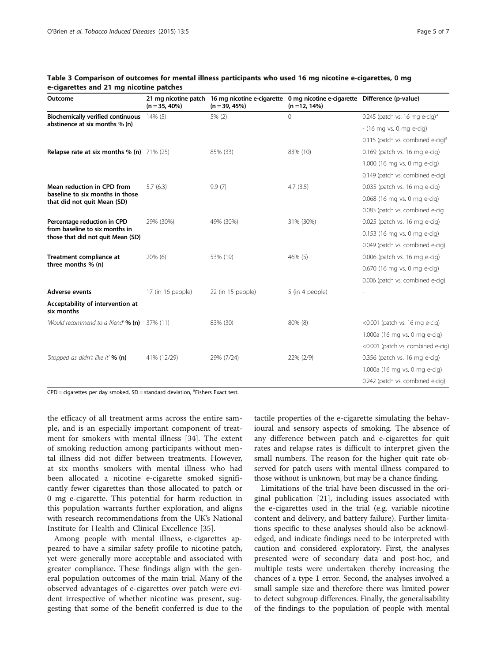| Outcome                                                             | $(n = 35, 40\%)$  | 21 mg nicotine patch 16 mg nicotine e-cigarette 0 mg nicotine e-cigarette Difference (p-value)<br>$(n = 39, 45%)$ | $(n = 12, 14%)$ |                                               |
|---------------------------------------------------------------------|-------------------|-------------------------------------------------------------------------------------------------------------------|-----------------|-----------------------------------------------|
| <b>Biochemically verified continuous</b>                            | $14\%$ (5)        | 5% (2)                                                                                                            | $\Omega$        | 0.245 (patch vs. 16 mg e-cig) <sup>a</sup>    |
| abstinence at six months % (n)                                      |                   |                                                                                                                   |                 | $-$ (16 mg vs. 0 mg e-cig)                    |
|                                                                     |                   |                                                                                                                   |                 | 0.115 (patch vs. combined e-cig) <sup>a</sup> |
| <b>Relapse rate at six months % (n)</b> $71\%$ (25)                 |                   | 85% (33)                                                                                                          | 83% (10)        | 0.169 (patch vs. 16 mg e-cig)                 |
|                                                                     |                   |                                                                                                                   |                 | 1.000 (16 mg vs. 0 mg e-cig)                  |
|                                                                     |                   |                                                                                                                   |                 | 0.149 (patch vs. combined e-cig)              |
| Mean reduction in CPD from                                          | 5.7(6.3)          | 9.9(7)                                                                                                            | 4.7(3.5)        | 0.035 (patch vs. 16 mg e-cig)                 |
| baseline to six months in those<br>that did not quit Mean (SD)      |                   |                                                                                                                   |                 | 0.068 (16 mg vs. 0 mg e-cig)                  |
|                                                                     |                   |                                                                                                                   |                 | 0.083 (patch vs. combined e-cig               |
| Percentage reduction in CPD                                         | 29% (30%)         | 49% (30%)                                                                                                         | 31% (30%)       | 0.025 (patch vs. 16 mg e-cig)                 |
| from baseline to six months in<br>those that did not quit Mean (SD) |                   |                                                                                                                   |                 | 0.153 (16 mg vs. 0 mg e-cig)                  |
|                                                                     |                   |                                                                                                                   |                 | 0.049 (patch vs. combined e-cig)              |
| Treatment compliance at                                             | 20% (6)           | 53% (19)                                                                                                          | 46% (5)         | 0.006 (patch vs. 16 mg e-cig)                 |
| three months % (n)                                                  |                   |                                                                                                                   |                 | 0.670 (16 mg vs. 0 mg e-cig)                  |
|                                                                     |                   |                                                                                                                   |                 | 0.006 (patch vs. combined e-cig)              |
| <b>Adverse events</b>                                               | 17 (in 16 people) | 22 (in 15 people)                                                                                                 | 5 (in 4 people) |                                               |
| Acceptability of intervention at<br>six months                      |                   |                                                                                                                   |                 |                                               |
| Would recommend to a friend' % (n)                                  | 37% (11)          | 83% (30)                                                                                                          | 80% (8)         | $<$ 0.001 (patch vs. 16 mg e-cig)             |
|                                                                     |                   |                                                                                                                   |                 | 1.000a (16 mg vs. 0 mg e-cig)                 |
|                                                                     |                   |                                                                                                                   |                 | <0.001 (patch vs. combined e-cig)             |
| 'Stopped as didn't like it' % (n)                                   | 41% (12/29)       | 29% (7/24)                                                                                                        | 22% (2/9)       | 0.356 (patch vs. 16 mg e-cig)                 |
|                                                                     |                   |                                                                                                                   |                 | 1.000a (16 mg vs. 0 mg e-cig)                 |
|                                                                     |                   |                                                                                                                   |                 | 0.242 (patch vs. combined e-cig)              |

<span id="page-4-0"></span>

| Table 3 Comparison of outcomes for mental illness participants who used 16 mg nicotine e-cigarettes, 0 mg |  |  |  |
|-----------------------------------------------------------------------------------------------------------|--|--|--|
| e-cigarettes and 21 mg nicotine patches                                                                   |  |  |  |

CPD = cigarettes per day smoked, SD = standard deviation, <sup>a</sup>Fishers Exact test.

the efficacy of all treatment arms across the entire sample, and is an especially important component of treatment for smokers with mental illness [[34\]](#page-6-0). The extent of smoking reduction among participants without mental illness did not differ between treatments. However, at six months smokers with mental illness who had been allocated a nicotine e-cigarette smoked significantly fewer cigarettes than those allocated to patch or 0 mg e-cigarette. This potential for harm reduction in this population warrants further exploration, and aligns with research recommendations from the UK's National Institute for Health and Clinical Excellence [\[35\]](#page-6-0).

Among people with mental illness, e-cigarettes appeared to have a similar safety profile to nicotine patch, yet were generally more acceptable and associated with greater compliance. These findings align with the general population outcomes of the main trial. Many of the observed advantages of e-cigarettes over patch were evident irrespective of whether nicotine was present, suggesting that some of the benefit conferred is due to the tactile properties of the e-cigarette simulating the behavioural and sensory aspects of smoking. The absence of any difference between patch and e-cigarettes for quit rates and relapse rates is difficult to interpret given the small numbers. The reason for the higher quit rate observed for patch users with mental illness compared to those without is unknown, but may be a chance finding.

Limitations of the trial have been discussed in the original publication [\[21\]](#page-6-0), including issues associated with the e-cigarettes used in the trial (e.g. variable nicotine content and delivery, and battery failure). Further limitations specific to these analyses should also be acknowledged, and indicate findings need to be interpreted with caution and considered exploratory. First, the analyses presented were of secondary data and post-hoc, and multiple tests were undertaken thereby increasing the chances of a type 1 error. Second, the analyses involved a small sample size and therefore there was limited power to detect subgroup differences. Finally, the generalisability of the findings to the population of people with mental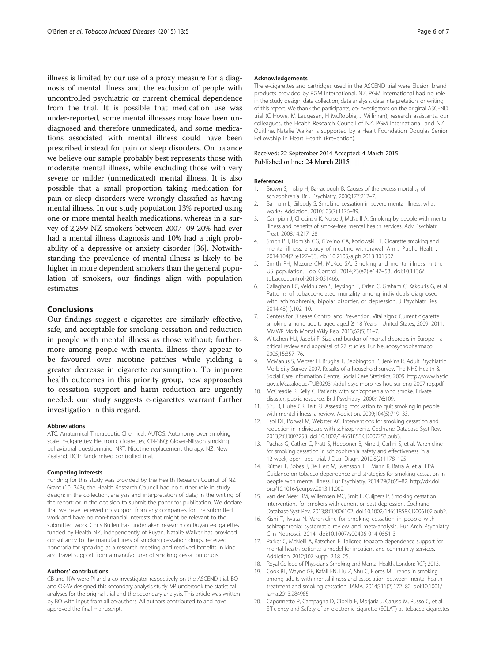<span id="page-5-0"></span>illness is limited by our use of a proxy measure for a diagnosis of mental illness and the exclusion of people with uncontrolled psychiatric or current chemical dependence from the trial. It is possible that medication use was under-reported, some mental illnesses may have been undiagnosed and therefore unmedicated, and some medications associated with mental illness could have been prescribed instead for pain or sleep disorders. On balance we believe our sample probably best represents those with moderate mental illness, while excluding those with very severe or milder (unmedicated) mental illness. It is also possible that a small proportion taking medication for pain or sleep disorders were wrongly classified as having mental illness. In our study population 13% reported using one or more mental health medications, whereas in a survey of 2,299 NZ smokers between 2007–09 20% had ever had a mental illness diagnosis and 10% had a high probability of a depressive or anxiety disorder [\[36\]](#page-6-0). Notwithstanding the prevalence of mental illness is likely to be higher in more dependent smokers than the general population of smokers, our findings align with population estimates.

# Conclusions

Our findings suggest e-cigarettes are similarly effective, safe, and acceptable for smoking cessation and reduction in people with mental illness as those without; furthermore among people with mental illness they appear to be favoured over nicotine patches while yielding a greater decrease in cigarette consumption. To improve health outcomes in this priority group, new approaches to cessation support and harm reduction are urgently needed; our study suggests e-cigarettes warrant further investigation in this regard.

#### Abbreviations

ATC: Anatomical Therapeutic Chemical; AUTOS: Autonomy over smoking scale; E-cigarettes: Electronic cigarettes; GN-SBQ: Glover-Nilsson smoking behavioural questionnaire; NRT: Nicotine replacement therapy; NZ: New Zealand; RCT: Randomised controlled trial.

#### Competing interests

Funding for this study was provided by the Health Research Council of NZ Grant (10–243); the Health Research Council had no further role in study design; in the collection, analysis and interpretation of data; in the writing of the report; or in the decision to submit the paper for publication. We declare that we have received no support from any companies for the submitted work and have no non-financial interests that might be relevant to the submitted work. Chris Bullen has undertaken research on Ruyan e-cigarettes funded by Health NZ, independently of Ruyan. Natalie Walker has provided consultancy to the manufacturers of smoking cessation drugs, received honoraria for speaking at a research meeting and received benefits in kind and travel support from a manufacturer of smoking cessation drugs.

#### Authors' contributions

CB and NW were PI and a co-investigator respectively on the ASCEND trial. BO and OK-W designed this secondary analysis study. VP undertook the statistical analyses for the original trial and the secondary analysis. This article was written by BO with input from all co-authors. All authors contributed to and have approved the final manuscript.

#### Acknowledgements

The e-cigarettes and cartridges used in the ASCEND trial were Elusion brand products provided by PGM International, NZ. PGM International had no role in the study design, data collection, data analysis, data interpretation, or writing of this report. We thank the participants, co-investigators on the original ASCEND trial (C Howe, M Laugesen, H McRobbie, J Williman), research assistants, our colleagues, the Health Research Council of NZ, PGM International, and NZ Quitline. Natalie Walker is supported by a Heart Foundation Douglas Senior Fellowship in Heart Health (Prevention).

#### Received: 22 September 2014 Accepted: 4 March 2015 Published online: 24 March 2015

#### References

- 1. Brown S, Inskip H, Barraclough B. Causes of the excess mortality of schizophrenia. Br J Psychiatry. 2000;177:212–7.
- 2. Banham L, Gilbody S. Smoking cessation in severe mental illness: what works? Addiction. 2010;105(7):1176–89.
- 3. Campion J, Checinski K, Nurse J, McNeill A. Smoking by people with mental illness and benefits of smoke-free mental health services. Adv Psychiatr Treat. 2008;14:217–28.
- 4. Smith PH, Homish GG, Giovino GA, Kozlowski LT. Cigarette smoking and mental illness: a study of nicotine withdrawal. Am J Public Health. 2014;104(2):e127–33. doi:10.2105/ajph.2013.301502.
- 5. Smith PH, Mazure CM, McKee SA. Smoking and mental illness in the US population. Tob Control. 2014;23(e2):e147–53. doi:10.1136/ tobaccocontrol-2013-051466.
- 6. Callaghan RC, Veldhuizen S, Jeysingh T, Orlan C, Graham C, Kakouris G, et al. Patterns of tobacco-related mortality among individuals diagnosed with schizophrenia, bipolar disorder, or depression. J Psychiatr Res. 2014;48(1):102–10.
- 7. Centers for Disease Control and Prevention. Vital signs: Current cigarette smoking among adults aged aged ≥ 18 Years—United States, 2009–2011. MMWR Morb Mortal Wkly Rep. 2013;62(5):81–7.
- 8. Wittchen HU, Jacobi F. Size and burden of mental disorders in Europe—a critical review and appraisal of 27 studies. Eur Neuropsychopharmacol. 2005;15:357–76.
- 9. McManus S, Meltzer H, Brugha T, Bebbington P, Jenkins R. Adult Psychiatric Morbidity Survey 2007. Results of a household survey. The NHS Health & Social Care Information Centre, Social Care Statistics; 2009. [http://www.hscic.](http://www.hscic.gov.uk/catalogue/PUB02931/adul-psyc-morb-res-hou-sur-eng-2007-rep.pdf) [gov.uk/catalogue/PUB02931/adul-psyc-morb-res-hou-sur-eng-2007-rep.pdf](http://www.hscic.gov.uk/catalogue/PUB02931/adul-psyc-morb-res-hou-sur-eng-2007-rep.pdf)
- 10. McCreadie R, Kelly C. Patients with schizophrenia who smoke. Private disaster, public resource. Br J Psychiatry. 2000;176:109.
- 11. Siru R, Hulse GK, Tait RJ. Assessing motivation to quit smoking in people with mental illness: a review. Addiction. 2009;104(5):719–33.
- 12. Tsoi DT, Porwal M, Webster AC. Interventions for smoking cessation and reduction in individuals with schizophrenia. Cochrane Database Syst Rev. 2013;2:CD007253. doi:10.1002/14651858.CD007253.pub3.
- 13. Pachas G, Cather C, Pratt S, Hoeppner B, Nino J, Carlini S, et al. Varenicline for smoking cessation in schizophrenia: safety and effectiveness in a 12-week, open-label trial. J Dual Diagn. 2012;8(2):1178–125.
- 14. Rüther T, Bobes J, De Hert M, Svensson TH, Mann K, Batra A, et al. EPA Guidance on tobacco dependence and strategies for smoking cessation in people with mental illness. Eur Psychiatry. 2014;29(2):65–82. [http://dx.doi.](http://dx.doi.org/10.1016/j.eurpsy.2013.11.002) [org/10.1016/j.eurpsy.2013.11.002.](http://dx.doi.org/10.1016/j.eurpsy.2013.11.002)
- 15. van der Meer RM, Willemsen MC, Smit F, Cuijpers P. Smoking cessation interventions for smokers with current or past depression. Cochrane Database Syst Rev. 2013;8:CD006102. doi:10.1002/14651858.CD006102.pub2.
- 16. Kishi T, Iwata N. Varenicline for smoking cessation in people with schizophrenia: systematic review and meta-analysis. Eur Arch Psychiatry Clin Neurosci. 2014. doi:10.1007/s00406-014-0551-3
- 17. Parker C, McNeill A, Ratschen E. Tailored tobacco dependence support for mental health patients: a model for inpatient and community services. Addiction. 2012;107 Suppl 2:18–25.
- 18. Royal College of Physicians. Smoking and Mental Health. London: RCP; 2013.
- 19. Cook BL, Wayne GF, Kafali EN, Liu Z, Shu C, Flores M. Trends in smoking among adults with mental illness and association between mental health treatment and smoking cessation. JAMA. 2014;311(2):172–82. doi:10.1001/ jama.2013.284985.
- 20. Caponnetto P, Campagna D, Cibella F, Morjaria J, Caruso M, Russo C, et al. Efficiency and Safety of an electronic cigarette (ECLAT) as tobacco cigarettes